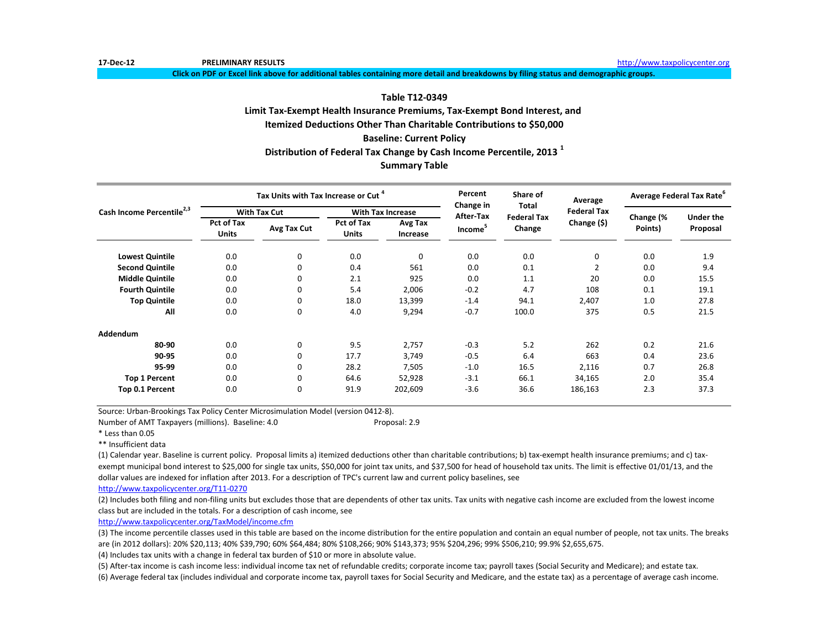**Click on PDF or Excel link above for additional tables containing more detail and breakdowns by filing status and demographic groups.**

### **Table T12-0349**

# **Limit Tax-Exempt Health Insurance Premiums, Tax-Exempt Bond Interest, and**

**Itemized Deductions Other Than Charitable Contributions to \$50,000**

### **Baseline: Current Policy**

**Distribution of Federal Tax Change by Cash Income Percentile, 2013 <sup>1</sup>**

# **Summary Table**

|                                       |                                   | Tax Units with Tax Increase or Cut <sup>4</sup> |                            |                          | Percent<br>Change in             | Share of<br><b>Total</b>     | Average            | Average Federal Tax Rate <sup>°</sup> |                  |
|---------------------------------------|-----------------------------------|-------------------------------------------------|----------------------------|--------------------------|----------------------------------|------------------------------|--------------------|---------------------------------------|------------------|
| Cash Income Percentile <sup>2,3</sup> |                                   | <b>With Tax Cut</b>                             |                            | <b>With Tax Increase</b> |                                  |                              | <b>Federal Tax</b> |                                       | <b>Under the</b> |
|                                       | <b>Pct of Tax</b><br><b>Units</b> | Avg Tax Cut                                     | Pct of Tax<br><b>Units</b> | Avg Tax<br>Increase      | After-Tax<br>Income <sup>5</sup> | <b>Federal Tax</b><br>Change | Change (\$)        | Change (%<br>Points)                  | Proposal         |
| <b>Lowest Quintile</b>                | 0.0                               | 0                                               | 0.0                        | 0                        | 0.0                              | 0.0                          | 0                  | 0.0                                   | 1.9              |
| <b>Second Quintile</b>                | 0.0                               | 0                                               | 0.4                        | 561                      | 0.0                              | 0.1                          | $\overline{2}$     | 0.0                                   | 9.4              |
| <b>Middle Quintile</b>                | 0.0                               | 0                                               | 2.1                        | 925                      | 0.0                              | 1.1                          | 20                 | 0.0                                   | 15.5             |
| <b>Fourth Quintile</b>                | 0.0                               | 0                                               | 5.4                        | 2,006                    | $-0.2$                           | 4.7                          | 108                | 0.1                                   | 19.1             |
| <b>Top Quintile</b>                   | 0.0                               | 0                                               | 18.0                       | 13,399                   | $-1.4$                           | 94.1                         | 2,407              | 1.0                                   | 27.8             |
| All                                   | 0.0                               | 0                                               | 4.0                        | 9,294                    | $-0.7$                           | 100.0                        | 375                | 0.5                                   | 21.5             |
| Addendum                              |                                   |                                                 |                            |                          |                                  |                              |                    |                                       |                  |
| 80-90                                 | 0.0                               | 0                                               | 9.5                        | 2,757                    | $-0.3$                           | 5.2                          | 262                | 0.2                                   | 21.6             |
| 90-95                                 | 0.0                               | 0                                               | 17.7                       | 3,749                    | $-0.5$                           | 6.4                          | 663                | 0.4                                   | 23.6             |
| 95-99                                 | 0.0                               | 0                                               | 28.2                       | 7,505                    | $-1.0$                           | 16.5                         | 2,116              | 0.7                                   | 26.8             |
| <b>Top 1 Percent</b>                  | 0.0                               | 0                                               | 64.6                       | 52,928                   | $-3.1$                           | 66.1                         | 34,165             | 2.0                                   | 35.4             |
| Top 0.1 Percent                       | 0.0                               | 0                                               | 91.9                       | 202,609                  | $-3.6$                           | 36.6                         | 186,163            | 2.3                                   | 37.3             |

Source: Urban-Brookings Tax Policy Center Microsimulation Model (version 0412-8).

Number of AMT Taxpayers (millions). Baseline: 4.0 Proposal: 2.9

\* Less than 0.05

\*\* Insufficient data

(1) Calendar year. Baseline is current policy. Proposal limits a) itemized deductions other than charitable contributions; b) tax-exempt health insurance premiums; and c) taxexempt municipal bond interest to \$25,000 for single tax units, \$50,000 for joint tax units, and \$37,500 for head of household tax units. The limit is effective 01/01/13, and the dollar values are indexed for inflation after 2013. For a description of TPC's current law and current policy baselines, see

[http://www.taxpolicycente](http://www.taxpolicycenter.org/T11-0270)r.org/T11-0270

(2) Includes both filing and non-filing units but excludes those that are dependents of other tax units. Tax units with negative cash income are excluded from the lowest income class but are included in the totals. For a description of cash income, see

[http://www.taxpolicycente](http://www.taxpolicycenter.org/TaxModel/income.cfm)r.org/TaxModel/income.cfm

(3) The income percentile classes used in this table are based on the income distribution for the entire population and contain an equal number of people, not tax units. The breaks are (in 2012 dollars): 20% \$20,113; 40% \$39,790; 60% \$64,484; 80% \$108,266; 90% \$143,373; 95% \$204,296; 99% \$506,210; 99.9% \$2,655,675.

(4) Includes tax units with a change in federal tax burden of \$10 or more in absolute value.

(5) After-tax income is cash income less: individual income tax net of refundable credits; corporate income tax; payroll taxes (Social Security and Medicare); and estate tax.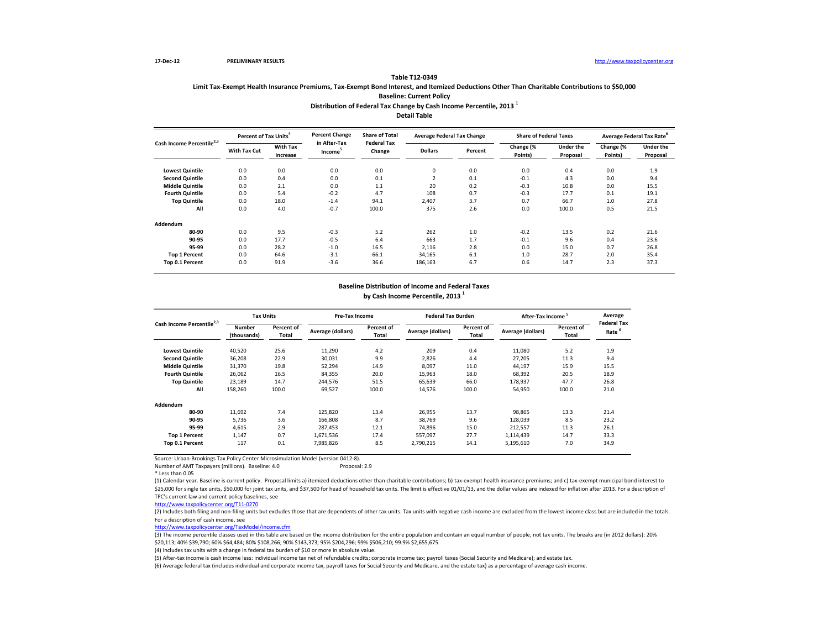# **Limit Tax-Exempt Health Insurance Premiums, Tax-Exempt Bond Interest, and Itemized Deductions Other Than Charitable Contributions to \$50,000 Baseline: Current Policy Distribution of Federal Tax Change by Cash Income Percentile, 2013 <sup>1</sup>**

**Table T12-0349**

**Detail Table**

| Cash Income Percentile <sup>2,3</sup> | <b>Percent of Tax Units<sup>4</sup></b> |                             | <b>Percent Change</b>               | <b>Share of Total</b><br><b>Federal Tax</b> | <b>Average Federal Tax Change</b> |         | <b>Share of Federal Taxes</b> |                       |                      | Average Federal Tax Rate |
|---------------------------------------|-----------------------------------------|-----------------------------|-------------------------------------|---------------------------------------------|-----------------------------------|---------|-------------------------------|-----------------------|----------------------|--------------------------|
|                                       | <b>With Tax Cut</b>                     | <b>With Tax</b><br>Increase | in After-Tax<br>Income <sup>5</sup> | Change                                      | <b>Dollars</b>                    | Percent | Change (%<br>Points)          | Under the<br>Proposal | Change (%<br>Points) | Under the<br>Proposal    |
| <b>Lowest Quintile</b>                | 0.0                                     | 0.0                         | 0.0                                 | 0.0                                         | 0                                 | 0.0     | 0.0                           | 0.4                   | 0.0                  | 1.9                      |
| <b>Second Quintile</b>                | 0.0                                     | 0.4                         | 0.0                                 | 0.1                                         | $\overline{2}$                    | 0.1     | $-0.1$                        | 4.3                   | 0.0                  | 9.4                      |
| <b>Middle Quintile</b>                | 0.0                                     | 2.1                         | 0.0                                 | 1.1                                         | 20                                | 0.2     | $-0.3$                        | 10.8                  | 0.0                  | 15.5                     |
| <b>Fourth Quintile</b>                | 0.0                                     | 5.4                         | $-0.2$                              | 4.7                                         | 108                               | 0.7     | $-0.3$                        | 17.7                  | 0.1                  | 19.1                     |
| <b>Top Quintile</b>                   | 0.0                                     | 18.0                        | $-1.4$                              | 94.1                                        | 2,407                             | 3.7     | 0.7                           | 66.7                  | 1.0                  | 27.8                     |
| All                                   | 0.0                                     | 4.0                         | $-0.7$                              | 100.0                                       | 375                               | 2.6     | 0.0                           | 100.0                 | 0.5                  | 21.5                     |
| Addendum                              |                                         |                             |                                     |                                             |                                   |         |                               |                       |                      |                          |
| 80-90                                 | 0.0                                     | 9.5                         | $-0.3$                              | 5.2                                         | 262                               | 1.0     | $-0.2$                        | 13.5                  | 0.2                  | 21.6                     |
| 90-95                                 | 0.0                                     | 17.7                        | $-0.5$                              | 6.4                                         | 663                               | 1.7     | $-0.1$                        | 9.6                   | 0.4                  | 23.6                     |
| 95-99                                 | 0.0                                     | 28.2                        | $-1.0$                              | 16.5                                        | 2,116                             | 2.8     | 0.0                           | 15.0                  | 0.7                  | 26.8                     |
| <b>Top 1 Percent</b>                  | 0.0                                     | 64.6                        | $-3.1$                              | 66.1                                        | 34,165                            | 6.1     | 1.0                           | 28.7                  | 2.0                  | 35.4                     |
| Top 0.1 Percent                       | 0.0                                     | 91.9                        | $-3.6$                              | 36.6                                        | 186,163                           | 6.7     | 0.6                           | 14.7                  | 2.3                  | 37.3                     |

#### **Baseline Distribution of Income and Federal Taxes**

**by Cash Income Percentile, 2013 <sup>1</sup>**

| Cash Income Percentile <sup>2,3</sup> |                       | <b>Tax Units</b>    |                   | <b>Pre-Tax Income</b> |                   | <b>Federal Tax Burden</b> | After-Tax Income  |                     | Average                    |
|---------------------------------------|-----------------------|---------------------|-------------------|-----------------------|-------------------|---------------------------|-------------------|---------------------|----------------------------|
|                                       | Number<br>(thousands) | Percent of<br>Total | Average (dollars) | Percent of<br>Total   | Average (dollars) | Percent of<br>Total       | Average (dollars) | Percent of<br>Total | <b>Federal Tax</b><br>Rate |
| <b>Lowest Quintile</b>                | 40,520                | 25.6                | 11,290            | 4.2                   | 209               | 0.4                       | 11,080            | 5.2                 | 1.9                        |
| <b>Second Quintile</b>                | 36,208                | 22.9                | 30,031            | 9.9                   | 2,826             | 4.4                       | 27,205            | 11.3                | 9.4                        |
| <b>Middle Quintile</b>                | 31,370                | 19.8                | 52,294            | 14.9                  | 8,097             | 11.0                      | 44,197            | 15.9                | 15.5                       |
| <b>Fourth Quintile</b>                | 26,062                | 16.5                | 84,355            | 20.0                  | 15,963            | 18.0                      | 68,392            | 20.5                | 18.9                       |
| <b>Top Quintile</b>                   | 23,189                | 14.7                | 244,576           | 51.5                  | 65,639            | 66.0                      | 178.937           | 47.7                | 26.8                       |
| All                                   | 158,260               | 100.0               | 69,527            | 100.0                 | 14,576            | 100.0                     | 54,950            | 100.0               | 21.0                       |
| Addendum                              |                       |                     |                   |                       |                   |                           |                   |                     |                            |
| 80-90                                 | 11.692                | 7.4                 | 125,820           | 13.4                  | 26,955            | 13.7                      | 98.865            | 13.3                | 21.4                       |
| 90-95                                 | 5,736                 | 3.6                 | 166,808           | 8.7                   | 38,769            | 9.6                       | 128,039           | 8.5                 | 23.2                       |
| 95-99                                 | 4.615                 | 2.9                 | 287,453           | 12.1                  | 74,896            | 15.0                      | 212,557           | 11.3                | 26.1                       |
| <b>Top 1 Percent</b>                  | 1,147                 | 0.7                 | 1,671,536         | 17.4                  | 557,097           | 27.7                      | 1,114,439         | 14.7                | 33.3                       |
| Top 0.1 Percent                       | 117                   | 0.1                 | 7,985,826         | 8.5                   | 2,790,215         | 14.1                      | 5,195,610         | 7.0                 | 34.9                       |

Source: Urban-Brookings Tax Policy Center Microsimulation Model (version 0412-8).

Number of AMT Taxpayers (millions). Baseline: 4.0

\* Less than 0.05

(1) Calendar year. Baseline is current policy. Proposal limits a) itemized deductions other than charitable contributions; b) tax-exempt health insurance premiums; and c) tax-exempt municipal bond interest to \$25,000 for single tax units, \$50,000 for joint tax units, and \$37,500 for head of household tax units. The limit is effective 01/01/13, and the dollar values are indexed for inflation after 2013. For a description of TPC's current law and current policy baselines, see

[http://www.taxpolicycente](http://www.taxpolicycenter.org/T11-0270)r.org/T11-0270

(2) Includes both filing and non-filing units but excludes those that are dependents of other tax units. Tax units with negative cash income are excluded from the lowest income class but are included in the totals. For a description of cash income, see

[http://www.taxpolicycente](http://www.taxpolicycenter.org/TaxModel/income.cfm)r.org/TaxModel/income.cfm

(3) The income percentile classes used in this table are based on the income distribution for the entire population and contain an equal number of people, not tax units. The breaks are (in 2012 dollars): 20% \$20,113; 40% \$39,790; 60% \$64,484; 80% \$108,266; 90% \$143,373; 95% \$204,296; 99% \$506,210; 99.9% \$2,655,675.

(4) Includes tax units with a change in federal tax burden of \$10 or more in absolute value.

(5) After-tax income is cash income less: individual income tax net of refundable credits; corporate income tax; payroll taxes (Social Security and Medicare); and estate tax.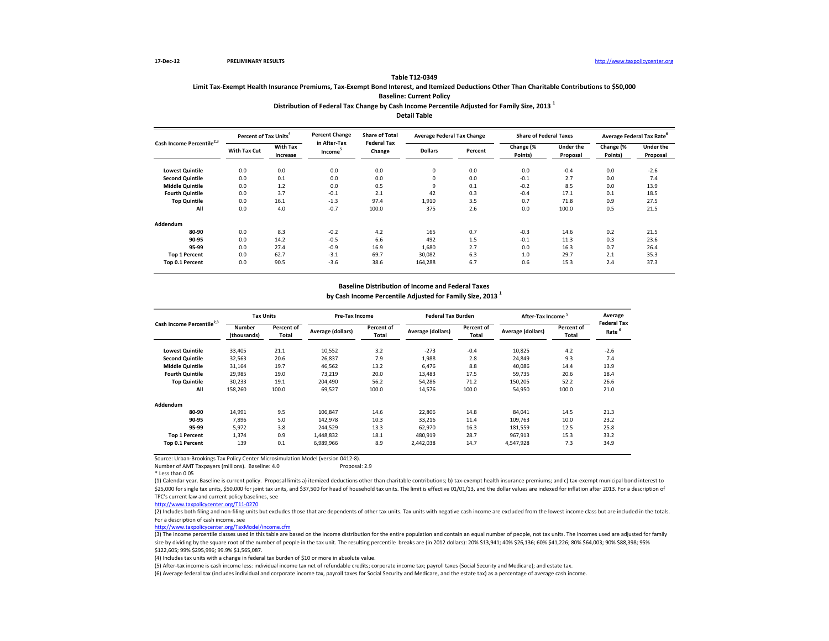### **Distribution of Federal Tax Change by Cash Income Percentile Adjusted for Family Size, 2013 <sup>1</sup> Table T12-0349 Limit Tax-Exempt Health Insurance Premiums, Tax-Exempt Bond Interest, and Itemized Deductions Other Than Charitable Contributions to \$50,000 Baseline: Current Policy**

# **Detail Table**

| Cash Income Percentile <sup>2,3</sup> | Percent of Tax Units <sup>4</sup> |                             | <b>Percent Change</b><br>in After-Tax | <b>Share of Total</b><br><b>Federal Tax</b> | <b>Average Federal Tax Change</b> |         | <b>Share of Federal Taxes</b> |                       |                      | Average Federal Tax Rate     |
|---------------------------------------|-----------------------------------|-----------------------------|---------------------------------------|---------------------------------------------|-----------------------------------|---------|-------------------------------|-----------------------|----------------------|------------------------------|
|                                       | <b>With Tax Cut</b>               | <b>With Tax</b><br>Increase | Income <sup>-</sup>                   | Change                                      | <b>Dollars</b>                    | Percent | Change (%<br>Points)          | Under the<br>Proposal | Change (%<br>Points) | <b>Under the</b><br>Proposal |
| <b>Lowest Quintile</b>                | 0.0                               | 0.0                         | 0.0                                   | 0.0                                         | 0                                 | 0.0     | 0.0                           | $-0.4$                | 0.0                  | $-2.6$                       |
| <b>Second Quintile</b>                | 0.0                               | 0.1                         | 0.0                                   | 0.0                                         | $\mathbf 0$                       | 0.0     | $-0.1$                        | 2.7                   | 0.0                  | 7.4                          |
| <b>Middle Quintile</b>                | 0.0                               | 1.2                         | 0.0                                   | 0.5                                         | 9                                 | 0.1     | $-0.2$                        | 8.5                   | 0.0                  | 13.9                         |
| <b>Fourth Quintile</b>                | 0.0                               | 3.7                         | $-0.1$                                | 2.1                                         | 42                                | 0.3     | $-0.4$                        | 17.1                  | 0.1                  | 18.5                         |
| <b>Top Quintile</b>                   | 0.0                               | 16.1                        | $-1.3$                                | 97.4                                        | 1,910                             | 3.5     | 0.7                           | 71.8                  | 0.9                  | 27.5                         |
| All                                   | 0.0                               | 4.0                         | $-0.7$                                | 100.0                                       | 375                               | 2.6     | 0.0                           | 100.0                 | 0.5                  | 21.5                         |
| Addendum                              |                                   |                             |                                       |                                             |                                   |         |                               |                       |                      |                              |
| 80-90                                 | 0.0                               | 8.3                         | $-0.2$                                | 4.2                                         | 165                               | 0.7     | $-0.3$                        | 14.6                  | 0.2                  | 21.5                         |
| 90-95                                 | 0.0                               | 14.2                        | $-0.5$                                | 6.6                                         | 492                               | 1.5     | $-0.1$                        | 11.3                  | 0.3                  | 23.6                         |
| 95-99                                 | 0.0                               | 27.4                        | $-0.9$                                | 16.9                                        | 1,680                             | 2.7     | 0.0                           | 16.3                  | 0.7                  | 26.4                         |
| <b>Top 1 Percent</b>                  | 0.0                               | 62.7                        | $-3.1$                                | 69.7                                        | 30,082                            | 6.3     | 1.0                           | 29.7                  | 2.1                  | 35.3                         |
| Top 0.1 Percent                       | 0.0                               | 90.5                        | $-3.6$                                | 38.6                                        | 164,288                           | 6.7     | 0.6                           | 15.3                  | 2.4                  | 37.3                         |

#### **Baseline Distribution of Income and Federal Taxes**

**by Cash Income Percentile Adjusted for Family Size, 2013 <sup>1</sup>**

| Cash Income Percentile <sup>2,3</sup> |                              | <b>Tax Units</b>    |                   | Pre-Tax Income      |                   | <b>Federal Tax Burden</b> | <b>After-Tax Income</b> |                     | Average                    |
|---------------------------------------|------------------------------|---------------------|-------------------|---------------------|-------------------|---------------------------|-------------------------|---------------------|----------------------------|
|                                       | <b>Number</b><br>(thousands) | Percent of<br>Total | Average (dollars) | Percent of<br>Total | Average (dollars) | Percent of<br>Total       | Average (dollars)       | Percent of<br>Total | <b>Federal Tax</b><br>Rate |
| <b>Lowest Quintile</b>                | 33,405                       | 21.1                | 10,552            | 3.2                 | $-273$            | $-0.4$                    | 10,825                  | 4.2                 | $-2.6$                     |
| <b>Second Quintile</b>                | 32,563                       | 20.6                | 26,837            | 7.9                 | 1,988             | 2.8                       | 24,849                  | 9.3                 | 7.4                        |
| <b>Middle Quintile</b>                | 31,164                       | 19.7                | 46,562            | 13.2                | 6,476             | 8.8                       | 40,086                  | 14.4                | 13.9                       |
| <b>Fourth Quintile</b>                | 29,985                       | 19.0                | 73,219            | 20.0                | 13,483            | 17.5                      | 59,735                  | 20.6                | 18.4                       |
| <b>Top Quintile</b>                   | 30,233                       | 19.1                | 204.490           | 56.2                | 54,286            | 71.2                      | 150,205                 | 52.2                | 26.6                       |
| All                                   | 158,260                      | 100.0               | 69,527            | 100.0               | 14,576            | 100.0                     | 54,950                  | 100.0               | 21.0                       |
| Addendum                              |                              |                     |                   |                     |                   |                           |                         |                     |                            |
| 80-90                                 | 14,991                       | 9.5                 | 106,847           | 14.6                | 22,806            | 14.8                      | 84,041                  | 14.5                | 21.3                       |
| 90-95                                 | 7.896                        | 5.0                 | 142,978           | 10.3                | 33,216            | 11.4                      | 109,763                 | 10.0                | 23.2                       |
| 95-99                                 | 5.972                        | 3.8                 | 244,529           | 13.3                | 62,970            | 16.3                      | 181,559                 | 12.5                | 25.8                       |
| <b>Top 1 Percent</b>                  | 1,374                        | 0.9                 | 1,448,832         | 18.1                | 480,919           | 28.7                      | 967,913                 | 15.3                | 33.2                       |
| Top 0.1 Percent                       | 139                          | 0.1                 | 6,989,966         | 8.9                 | 2,442,038         | 14.7                      | 4,547,928               | 7.3                 | 34.9                       |

Source: Urban-Brookings Tax Policy Center Microsimulation Model (version 0412-8). Number of AMT Taxpayers (millions). Baseline: 4.0

\* Less than 0.05

(1) Calendar year. Baseline is current policy. Proposal limits a) itemized deductions other than charitable contributions; b) tax-exempt health insurance premiums; and c) tax-exempt municipal bond interest to \$25,000 for single tax units, \$50,000 for joint tax units, and \$37,500 for head of household tax units. The limit is effective 01/01/13, and the dollar values are indexed for inflation after 2013. For a description of TPC's current law and current policy baselines, see

[http://www.taxpolicycente](http://www.taxpolicycenter.org/T11-0270)r.org/T11-0270

(2) Includes both filing and non-filing units but excludes those that are dependents of other tax units. Tax units with negative cash income are excluded from the lowest income class but are included in the totals. For a description of cash income, see

[http://www.taxpolicycente](http://www.taxpolicycenter.org/TaxModel/income.cfm)r.org/TaxModel/income.cfm

 $\frac{1}{(3)}$  The income percentile classes used in this table are based on the income distribution for the entire population and contain an equal number of people, not tax units. The incomes used are adjusted for family size by dividing by the square root of the number of people in the tax unit. The resulting percentile breaks are (in 2012 dollars): 20% \$13,941; 40% \$26,136; 60% \$41,226; 80% \$64,003; 90% \$88,398; 95% \$122,605; 99% \$295,996; 99.9% \$1,565,087.

(4) Includes tax units with a change in federal tax burden of \$10 or more in absolute value.

(5) After-tax income is cash income less: individual income tax net of refundable credits; corporate income tax; payroll taxes (Social Security and Medicare); and estate tax.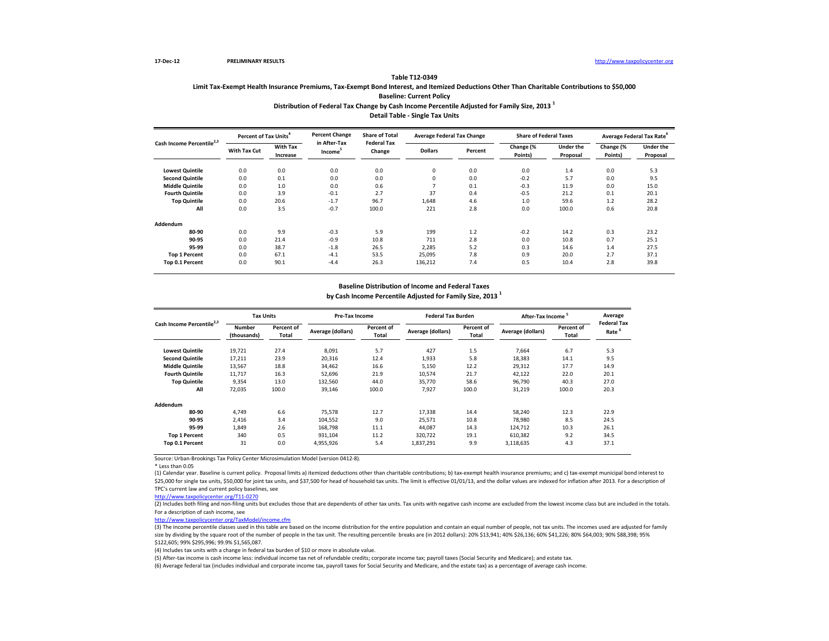### **Distribution of Federal Tax Change by Cash Income Percentile Adjusted for Family Size, 2013 <sup>1</sup> Table T12-0349 Limit Tax-Exempt Health Insurance Premiums, Tax-Exempt Bond Interest, and Itemized Deductions Other Than Charitable Contributions to \$50,000 Baseline: Current Policy**

**Detail Table - Single Tax Units**

| Cash Income Percentile | Percent of Tax Units <sup>4</sup> |                             | <b>Percent Change</b><br>in After-Tax | <b>Share of Total</b><br><b>Federal Tax</b> | <b>Average Federal Tax Change</b> |         | <b>Share of Federal Taxes</b> |                       | Average Federal Tax Rate |                              |
|------------------------|-----------------------------------|-----------------------------|---------------------------------------|---------------------------------------------|-----------------------------------|---------|-------------------------------|-----------------------|--------------------------|------------------------------|
|                        | <b>With Tax Cut</b>               | <b>With Tax</b><br>Increase | Income <sup>-</sup>                   | Change                                      | <b>Dollars</b>                    | Percent | Change (%<br>Points)          | Under the<br>Proposal | Change (%<br>Points)     | <b>Under the</b><br>Proposal |
| <b>Lowest Quintile</b> | 0.0                               | 0.0                         | 0.0                                   | 0.0                                         | 0                                 | 0.0     | 0.0                           | 1.4                   | 0.0                      | 5.3                          |
| <b>Second Quintile</b> | 0.0                               | 0.1                         | 0.0                                   | 0.0                                         | 0                                 | 0.0     | $-0.2$                        | 5.7                   | 0.0                      | 9.5                          |
| <b>Middle Quintile</b> | 0.0                               | 1.0                         | 0.0                                   | 0.6                                         |                                   | 0.1     | $-0.3$                        | 11.9                  | 0.0                      | 15.0                         |
| <b>Fourth Quintile</b> | 0.0                               | 3.9                         | $-0.1$                                | 2.7                                         | 37                                | 0.4     | $-0.5$                        | 21.2                  | 0.1                      | 20.1                         |
| <b>Top Quintile</b>    | 0.0                               | 20.6                        | $-1.7$                                | 96.7                                        | 1,648                             | 4.6     | 1.0                           | 59.6                  | $1.2$                    | 28.2                         |
| All                    | 0.0                               | 3.5                         | $-0.7$                                | 100.0                                       | 221                               | 2.8     | 0.0                           | 100.0                 | 0.6                      | 20.8                         |
| Addendum               |                                   |                             |                                       |                                             |                                   |         |                               |                       |                          |                              |
| 80-90                  | 0.0                               | 9.9                         | $-0.3$                                | 5.9                                         | 199                               | 1.2     | $-0.2$                        | 14.2                  | 0.3                      | 23.2                         |
| 90-95                  | 0.0                               | 21.4                        | $-0.9$                                | 10.8                                        | 711                               | 2.8     | 0.0                           | 10.8                  | 0.7                      | 25.1                         |
| 95-99                  | 0.0                               | 38.7                        | $-1.8$                                | 26.5                                        | 2.285                             | 5.2     | 0.3                           | 14.6                  | 1.4                      | 27.5                         |
| <b>Top 1 Percent</b>   | 0.0                               | 67.1                        | $-4.1$                                | 53.5                                        | 25,095                            | 7.8     | 0.9                           | 20.0                  | 2.7                      | 37.1                         |
| Top 0.1 Percent        | 0.0                               | 90.1                        | $-4.4$                                | 26.3                                        | 136,212                           | 7.4     | 0.5                           | 10.4                  | 2.8                      | 39.8                         |

#### **Baseline Distribution of Income and Federal Taxes**

**by Cash Income Percentile Adjusted for Family Size, 2013 <sup>1</sup>**

| Cash Income Percentile <sup>2,3</sup> |                              | <b>Tax Units</b>    |                   | Pre-Tax Income      |                   | <b>Federal Tax Burden</b> | After-Tax Income  |                     | Average                    |
|---------------------------------------|------------------------------|---------------------|-------------------|---------------------|-------------------|---------------------------|-------------------|---------------------|----------------------------|
|                                       | <b>Number</b><br>(thousands) | Percent of<br>Total | Average (dollars) | Percent of<br>Total | Average (dollars) | Percent of<br>Total       | Average (dollars) | Percent of<br>Total | <b>Federal Tax</b><br>Rate |
| <b>Lowest Quintile</b>                | 19,721                       | 27.4                | 8.091             | 5.7                 | 427               | 1.5                       | 7,664             | 6.7                 | 5.3                        |
| <b>Second Quintile</b>                | 17,211                       | 23.9                | 20,316            | 12.4                | 1,933             | 5.8                       | 18,383            | 14.1                | 9.5                        |
| <b>Middle Quintile</b>                | 13,567                       | 18.8                | 34,462            | 16.6                | 5,150             | 12.2                      | 29,312            | 17.7                | 14.9                       |
| <b>Fourth Quintile</b>                | 11,717                       | 16.3                | 52,696            | 21.9                | 10,574            | 21.7                      | 42,122            | 22.0                | 20.1                       |
| <b>Top Quintile</b>                   | 9,354                        | 13.0                | 132,560           | 44.0                | 35.770            | 58.6                      | 96.790            | 40.3                | 27.0                       |
| All                                   | 72,035                       | 100.0               | 39,146            | 100.0               | 7,927             | 100.0                     | 31,219            | 100.0               | 20.3                       |
| Addendum                              |                              |                     |                   |                     |                   |                           |                   |                     |                            |
| 80-90                                 | 4.749                        | 6.6                 | 75.578            | 12.7                | 17.338            | 14.4                      | 58,240            | 12.3                | 22.9                       |
| 90-95                                 | 2,416                        | 3.4                 | 104,552           | 9.0                 | 25,571            | 10.8                      | 78,980            | 8.5                 | 24.5                       |
| 95-99                                 | 1,849                        | 2.6                 | 168,798           | 11.1                | 44,087            | 14.3                      | 124,712           | 10.3                | 26.1                       |
| <b>Top 1 Percent</b>                  | 340                          | 0.5                 | 931,104           | 11.2                | 320,722           | 19.1                      | 610,382           | 9.2                 | 34.5                       |
| Top 0.1 Percent                       | 31                           | 0.0                 | 4,955,926         | 5.4                 | 1,837,291         | 9.9                       | 3,118,635         | 4.3                 | 37.1                       |

Source: Urban-Brookings Tax Policy Center Microsimulation Model (version 0412-8).

\* Less than 0.05

(1) Calendar year. Baseline is current policy. Proposal limits a) itemized deductions other than charitable contributions; b) tax-exempt health insurance premiums; and c) tax-exempt municipal bond interest to \$25,000 for single tax units, \$50,000 for joint tax units, and \$37,500 for head of household tax units. The limit is effective 01/01/13, and the dollar values are indexed for inflation after 2013. For a description of TPC's current law and current policy baselines, see

[http://www.taxpolicycente](http://www.taxpolicycenter.org/T11-0270)r.org/T11-0270

(2) Includes both filing and non-filing units but excludes those that are dependents of other tax units. Tax units with negative cash income are excluded from the lowest income class but are included in the totals. For a description of cash income, see

[http://www.taxpolicycente](http://www.taxpolicycenter.org/TaxModel/income.cfm)r.org/TaxModel/income.cfm

(3) The income percentile classes used in this table are based on the income distribution for the entire population and contain an equal number of people, not tax units. The incomes used are adjusted for family size by dividing by the square root of the number of people in the tax unit. The resulting percentile breaks are (in 2012 dollars): 20% \$13,941; 40% \$26,136; 60% \$41,226; 80% \$64,003; 90% \$88,398; 95% \$122,605; 99% \$295,996; 99.9% \$1,565,087.

(4) Includes tax units with a change in federal tax burden of \$10 or more in absolute value.

(5) After-tax income is cash income less: individual income tax net of refundable credits; corporate income tax; payroll taxes (Social Security and Medicare); and estate tax.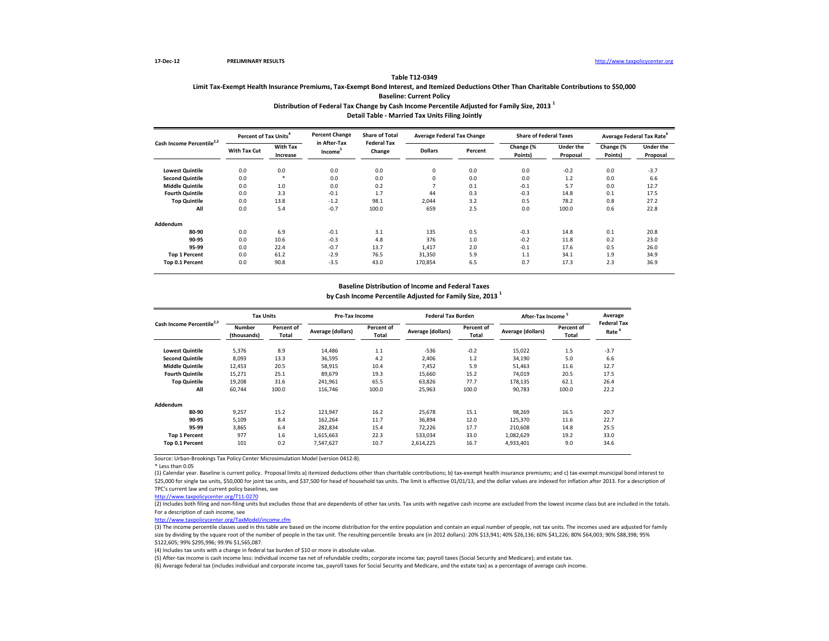#### **Table T12-0349**

## **Limit Tax-Exempt Health Insurance Premiums, Tax-Exempt Bond Interest, and Itemized Deductions Other Than Charitable Contributions to \$50,000 Baseline: Current Policy**

#### **Distribution of Federal Tax Change by Cash Income Percentile Adjusted for Family Size, 2013 <sup>1</sup> Detail Table - Married Tax Units Filing Jointly**

| Cash Income Percentile | Percent of Tax Units <sup>4</sup> |                             | <b>Percent Change</b><br>in After-Tax | <b>Share of Total</b><br><b>Federal Tax</b> | <b>Average Federal Tax Change</b> |         | <b>Share of Federal Taxes</b> |                       | Average Federal Tax Rate |                              |
|------------------------|-----------------------------------|-----------------------------|---------------------------------------|---------------------------------------------|-----------------------------------|---------|-------------------------------|-----------------------|--------------------------|------------------------------|
|                        | With Tax Cut                      | <b>With Tax</b><br>Increase | Income <sup>-</sup>                   | Change                                      | <b>Dollars</b>                    | Percent | Change (%<br>Points)          | Under the<br>Proposal | Change (%<br>Points)     | <b>Under the</b><br>Proposal |
| <b>Lowest Quintile</b> | 0.0                               | 0.0                         | 0.0                                   | 0.0                                         | 0                                 | 0.0     | 0.0                           | $-0.2$                | 0.0                      | $-3.7$                       |
| <b>Second Quintile</b> | 0.0                               | $\star$                     | 0.0                                   | 0.0                                         | 0                                 | 0.0     | 0.0                           | 1.2                   | 0.0                      | 6.6                          |
| <b>Middle Quintile</b> | 0.0                               | 1.0                         | 0.0                                   | 0.2                                         |                                   | 0.1     | $-0.1$                        | 5.7                   | 0.0                      | 12.7                         |
| <b>Fourth Quintile</b> | 0.0                               | 3.3                         | $-0.1$                                | 1.7                                         | 44                                | 0.3     | $-0.3$                        | 14.8                  | 0.1                      | 17.5                         |
| <b>Top Quintile</b>    | 0.0                               | 13.8                        | $-1.2$                                | 98.1                                        | 2,044                             | 3.2     | 0.5                           | 78.2                  | 0.8                      | 27.2                         |
| All                    | 0.0                               | 5.4                         | $-0.7$                                | 100.0                                       | 659                               | 2.5     | 0.0                           | 100.0                 | 0.6                      | 22.8                         |
| Addendum               |                                   |                             |                                       |                                             |                                   |         |                               |                       |                          |                              |
| 80-90                  | 0.0                               | 6.9                         | $-0.1$                                | 3.1                                         | 135                               | 0.5     | $-0.3$                        | 14.8                  | 0.1                      | 20.8                         |
| 90-95                  | 0.0                               | 10.6                        | $-0.3$                                | 4.8                                         | 376                               | 1.0     | $-0.2$                        | 11.8                  | 0.2                      | 23.0                         |
| 95-99                  | 0.0                               | 22.4                        | $-0.7$                                | 13.7                                        | 1,417                             | 2.0     | $-0.1$                        | 17.6                  | 0.5                      | 26.0                         |
| <b>Top 1 Percent</b>   | 0.0                               | 61.2                        | $-2.9$                                | 76.5                                        | 31,350                            | 5.9     | 1.1                           | 34.1                  | 1.9                      | 34.9                         |
| Top 0.1 Percent        | 0.0                               | 90.8                        | $-3.5$                                | 43.0                                        | 170,854                           | 6.5     | 0.7                           | 17.3                  | 2.3                      | 36.9                         |

#### **Baseline Distribution of Income and Federal Taxes**

**by Cash Income Percentile Adjusted for Family Size, 2013 <sup>1</sup>**

| Cash Income Percentile <sup>2,3</sup> |                              | <b>Tax Units</b>    |                   | Pre-Tax Income      |                   | <b>Federal Tax Burden</b> | After-Tax Income  |                     | Average                    |
|---------------------------------------|------------------------------|---------------------|-------------------|---------------------|-------------------|---------------------------|-------------------|---------------------|----------------------------|
|                                       | <b>Number</b><br>(thousands) | Percent of<br>Total | Average (dollars) | Percent of<br>Total | Average (dollars) | Percent of<br>Total       | Average (dollars) | Percent of<br>Total | <b>Federal Tax</b><br>Rate |
| <b>Lowest Quintile</b>                | 5,376                        | 8.9                 | 14,486            | 1.1                 | $-536$            | $-0.2$                    | 15,022            | 1.5                 | $-3.7$                     |
| <b>Second Quintile</b>                | 8,093                        | 13.3                | 36,595            | 4.2                 | 2,406             | 1.2                       | 34,190            | 5.0                 | 6.6                        |
| <b>Middle Quintile</b>                | 12,453                       | 20.5                | 58,915            | 10.4                | 7,452             | 5.9                       | 51,463            | 11.6                | 12.7                       |
| <b>Fourth Quintile</b>                | 15,271                       | 25.1                | 89,679            | 19.3                | 15,660            | 15.2                      | 74,019            | 20.5                | 17.5                       |
| <b>Top Quintile</b>                   | 19,208                       | 31.6                | 241,961           | 65.5                | 63,826            | 77.7                      | 178.135           | 62.1                | 26.4                       |
| All                                   | 60.744                       | 100.0               | 116.746           | 100.0               | 25,963            | 100.0                     | 90,783            | 100.0               | 22.2                       |
| Addendum                              |                              |                     |                   |                     |                   |                           |                   |                     |                            |
| 80-90                                 | 9,257                        | 15.2                | 123,947           | 16.2                | 25,678            | 15.1                      | 98,269            | 16.5                | 20.7                       |
| 90-95                                 | 5,109                        | 8.4                 | 162,264           | 11.7                | 36,894            | 12.0                      | 125,370           | 11.6                | 22.7                       |
| 95-99                                 | 3.865                        | 6.4                 | 282,834           | 15.4                | 72,226            | 17.7                      | 210,608           | 14.8                | 25.5                       |
| <b>Top 1 Percent</b>                  | 977                          | 1.6                 | 1,615,663         | 22.3                | 533,034           | 33.0                      | 1,082,629         | 19.2                | 33.0                       |
| Top 0.1 Percent                       | 101                          | 0.2                 | 7,547,627         | 10.7                | 2,614,225         | 16.7                      | 4,933,401         | 9.0                 | 34.6                       |

Source: Urban-Brookings Tax Policy Center Microsimulation Model (version 0412-8).

\* Less than 0.05

(1) Calendar year. Baseline is current policy. Proposal limits a) itemized deductions other than charitable contributions; b) tax-exempt health insurance premiums; and c) tax-exempt municipal bond interest to \$25,000 for single tax units, \$50,000 for joint tax units, and \$37,500 for head of household tax units. The limit is effective 01/01/13, and the dollar values are indexed for inflation after 2013. For a description of TPC's current law and current policy baselines, see

[http://www.taxpolicycente](http://www.taxpolicycenter.org/T11-0270)r.org/T11-0270

(2) Includes both filing and non-filing units but excludes those that are dependents of other tax units. Tax units with negative cash income are excluded from the lowest income class but are included in the totals. For a description of cash income, see

[http://www.taxpolicycente](http://www.taxpolicycenter.org/TaxModel/income.cfm)r.org/TaxModel/income.cfm

(3) The income percentile classes used in this table are based on the income distribution for the entire population and contain an equal number of people, not tax units. The incomes used are adjusted for family size by dividing by the square root of the number of people in the tax unit. The resulting percentile breaks are (in 2012 dollars): 20% \$13,941; 40% \$26,136; 60% \$41,226; 80% \$64,003; 90% \$88,398; 95% \$122,605; 99% \$295,996; 99.9% \$1,565,087.

(4) Includes tax units with a change in federal tax burden of \$10 or more in absolute value.

(5) After-tax income is cash income less: individual income tax net of refundable credits; corporate income tax; payroll taxes (Social Security and Medicare); and estate tax.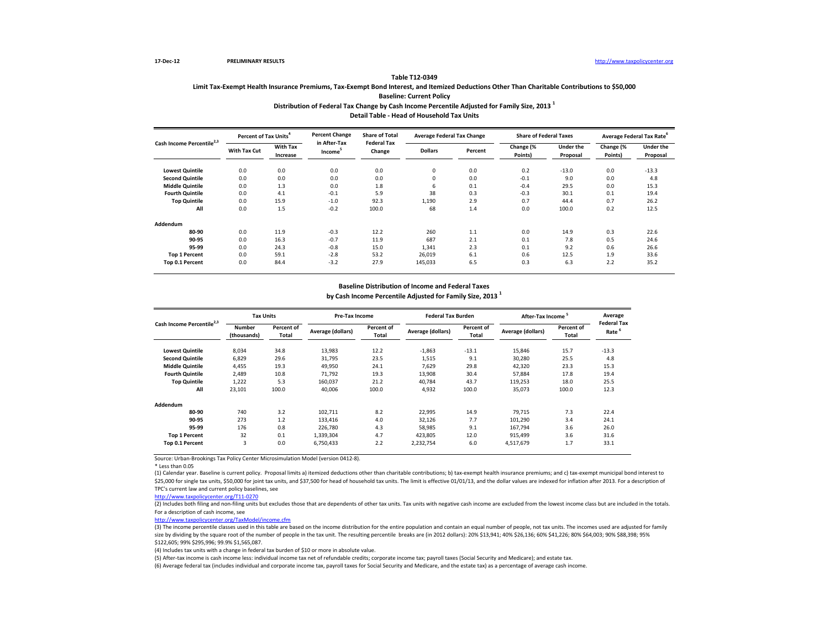### **Distribution of Federal Tax Change by Cash Income Percentile Adjusted for Family Size, 2013 <sup>1</sup> Table T12-0349 Limit Tax-Exempt Health Insurance Premiums, Tax-Exempt Bond Interest, and Itemized Deductions Other Than Charitable Contributions to \$50,000 Baseline: Current Policy**

**Detail Table - Head of Household Tax Units**

| Cash Income Percentile <sup>2</sup> | Percent of Tax Units <sup>4</sup> |                             | <b>Percent Change</b>               | <b>Share of Total</b><br><b>Federal Tax</b> | <b>Average Federal Tax Change</b> |         | <b>Share of Federal Taxes</b> |                              |                      | Average Federal Tax Rate <sup>6</sup> |
|-------------------------------------|-----------------------------------|-----------------------------|-------------------------------------|---------------------------------------------|-----------------------------------|---------|-------------------------------|------------------------------|----------------------|---------------------------------------|
|                                     | <b>With Tax Cut</b>               | <b>With Tax</b><br>Increase | in After-Tax<br>Income <sup>®</sup> | Change                                      | <b>Dollars</b>                    | Percent | Change (%<br>Points)          | <b>Under the</b><br>Proposal | Change (%<br>Points) | <b>Under the</b><br>Proposal          |
| <b>Lowest Quintile</b>              | 0.0                               | 0.0                         | 0.0                                 | 0.0                                         | $\mathbf 0$                       | 0.0     | 0.2                           | $-13.0$                      | 0.0                  | $-13.3$                               |
| <b>Second Quintile</b>              | 0.0                               | 0.0                         | 0.0                                 | 0.0                                         | $\mathbf 0$                       | 0.0     | $-0.1$                        | 9.0                          | 0.0                  | 4.8                                   |
| <b>Middle Quintile</b>              | 0.0                               | 1.3                         | 0.0                                 | 1.8                                         | 6                                 | 0.1     | $-0.4$                        | 29.5                         | 0.0                  | 15.3                                  |
| <b>Fourth Quintile</b>              | 0.0                               | 4.1                         | $-0.1$                              | 5.9                                         | 38                                | 0.3     | $-0.3$                        | 30.1                         | 0.1                  | 19.4                                  |
| <b>Top Quintile</b>                 | 0.0                               | 15.9                        | $-1.0$                              | 92.3                                        | 1,190                             | 2.9     | 0.7                           | 44.4                         | 0.7                  | 26.2                                  |
| All                                 | 0.0                               | 1.5                         | $-0.2$                              | 100.0                                       | 68                                | 1.4     | 0.0                           | 100.0                        | 0.2                  | 12.5                                  |
| Addendum                            |                                   |                             |                                     |                                             |                                   |         |                               |                              |                      |                                       |
| 80-90                               | 0.0                               | 11.9                        | $-0.3$                              | 12.2                                        | 260                               | 1.1     | 0.0                           | 14.9                         | 0.3                  | 22.6                                  |
| 90-95                               | 0.0                               | 16.3                        | $-0.7$                              | 11.9                                        | 687                               | 2.1     | 0.1                           | 7.8                          | 0.5                  | 24.6                                  |
| 95-99                               | 0.0                               | 24.3                        | $-0.8$                              | 15.0                                        | 1,341                             | 2.3     | 0.1                           | 9.2                          | 0.6                  | 26.6                                  |
| <b>Top 1 Percent</b>                | 0.0                               | 59.1                        | $-2.8$                              | 53.2                                        | 26,019                            | 6.1     | 0.6                           | 12.5                         | 1.9                  | 33.6                                  |
| Top 0.1 Percent                     | 0.0                               | 84.4                        | $-3.2$                              | 27.9                                        | 145,033                           | 6.5     | 0.3                           | 6.3                          | 2.2                  | 35.2                                  |

#### **Baseline Distribution of Income and Federal Taxes**

**by Cash Income Percentile Adjusted for Family Size, 2013 <sup>1</sup>**

| Cash Income Percentile <sup>2,3</sup> |                              | <b>Tax Units</b>    |                   | Pre-Tax Income      |                   | <b>Federal Tax Burden</b> | After-Tax Income  |                     | Average                    |
|---------------------------------------|------------------------------|---------------------|-------------------|---------------------|-------------------|---------------------------|-------------------|---------------------|----------------------------|
|                                       | <b>Number</b><br>(thousands) | Percent of<br>Total | Average (dollars) | Percent of<br>Total | Average (dollars) | Percent of<br>Total       | Average (dollars) | Percent of<br>Total | <b>Federal Tax</b><br>Rate |
| <b>Lowest Quintile</b>                | 8,034                        | 34.8                | 13,983            | 12.2                | $-1,863$          | $-13.1$                   | 15,846            | 15.7                | $-13.3$                    |
| <b>Second Quintile</b>                | 6,829                        | 29.6                | 31,795            | 23.5                | 1,515             | 9.1                       | 30,280            | 25.5                | 4.8                        |
| <b>Middle Quintile</b>                | 4.455                        | 19.3                | 49,950            | 24.1                | 7.629             | 29.8                      | 42,320            | 23.3                | 15.3                       |
| <b>Fourth Quintile</b>                | 2.489                        | 10.8                | 71.792            | 19.3                | 13,908            | 30.4                      | 57,884            | 17.8                | 19.4                       |
| <b>Top Quintile</b>                   | 1,222                        | 5.3                 | 160,037           | 21.2                | 40.784            | 43.7                      | 119.253           | 18.0                | 25.5                       |
| All                                   | 23,101                       | 100.0               | 40.006            | 100.0               | 4,932             | 100.0                     | 35,073            | 100.0               | 12.3                       |
| Addendum                              |                              |                     |                   |                     |                   |                           |                   |                     |                            |
| 80-90                                 | 740                          | 3.2                 | 102,711           | 8.2                 | 22,995            | 14.9                      | 79.715            | 7.3                 | 22.4                       |
| 90-95                                 | 273                          | 1.2                 | 133,416           | 4.0                 | 32,126            | 7.7                       | 101,290           | 3.4                 | 24.1                       |
| 95-99                                 | 176                          | 0.8                 | 226,780           | 4.3                 | 58,985            | 9.1                       | 167,794           | 3.6                 | 26.0                       |
| <b>Top 1 Percent</b>                  | 32                           | 0.1                 | 1,339,304         | 4.7                 | 423,805           | 12.0                      | 915,499           | 3.6                 | 31.6                       |
| Top 0.1 Percent                       | 3                            | 0.0                 | 6,750,433         | 2.2                 | 2,232,754         | 6.0                       | 4,517,679         | 1.7                 | 33.1                       |

Source: Urban-Brookings Tax Policy Center Microsimulation Model (version 0412-8).

\* Less than 0.05

(1) Calendar year. Baseline is current policy. Proposal limits a) itemized deductions other than charitable contributions; b) tax-exempt health insurance premiums; and c) tax-exempt municipal bond interest to \$25,000 for single tax units, \$50,000 for joint tax units, and \$37,500 for head of household tax units. The limit is effective 01/01/13, and the dollar values are indexed for inflation after 2013. For a description of TPC's current law and current policy baselines, see

[http://www.taxpolicycente](http://www.taxpolicycenter.org/T11-0270)r.org/T11-0270

(2) Includes both filing and non-filing units but excludes those that are dependents of other tax units. Tax units with negative cash income are excluded from the lowest income class but are included in the totals. For a description of cash income, see

[http://www.taxpolicycente](http://www.taxpolicycenter.org/TaxModel/income.cfm)r.org/TaxModel/income.cfm

(3) The income percentile classes used in this table are based on the income distribution for the entire population and contain an equal number of people, not tax units. The incomes used are adjusted for family size by dividing by the square root of the number of people in the tax unit. The resulting percentile breaks are (in 2012 dollars): 20% \$13,941; 40% \$26,136; 60% \$41,226; 80% \$64,003; 90% \$88,398; 95% \$122,605; 99% \$295,996; 99.9% \$1,565,087.

(4) Includes tax units with a change in federal tax burden of \$10 or more in absolute value.

(5) After-tax income is cash income less: individual income tax net of refundable credits; corporate income tax; payroll taxes (Social Security and Medicare); and estate tax.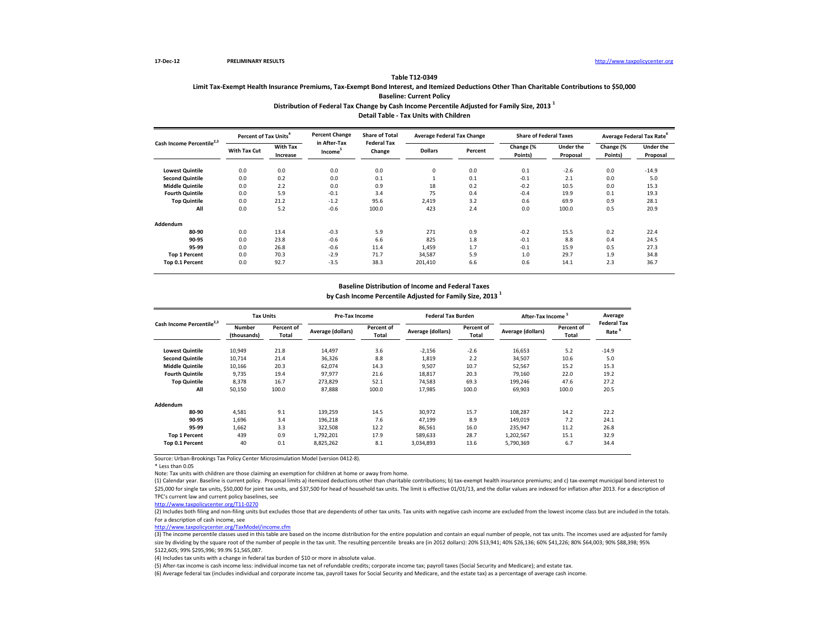### **Distribution of Federal Tax Change by Cash Income Percentile Adjusted for Family Size, 2013 <sup>1</sup> Table T12-0349 Limit Tax-Exempt Health Insurance Premiums, Tax-Exempt Bond Interest, and Itemized Deductions Other Than Charitable Contributions to \$50,000 Baseline: Current Policy**

**Detail Table - Tax Units with Children**

| Cash Income Percentile <sup>2</sup> | Percent of Tax Units <sup>4</sup> |                             | <b>Percent Change</b>               | <b>Share of Total</b><br><b>Federal Tax</b> | <b>Average Federal Tax Change</b> |         | <b>Share of Federal Taxes</b> |                              |                      | Average Federal Tax Rate <sup>6</sup> |
|-------------------------------------|-----------------------------------|-----------------------------|-------------------------------------|---------------------------------------------|-----------------------------------|---------|-------------------------------|------------------------------|----------------------|---------------------------------------|
|                                     | With Tax Cut                      | <b>With Tax</b><br>Increase | in After-Tax<br>Income <sup>®</sup> | Change                                      | <b>Dollars</b>                    | Percent | Change (%<br>Points)          | <b>Under the</b><br>Proposal | Change (%<br>Points) | <b>Under the</b><br>Proposal          |
| <b>Lowest Quintile</b>              | 0.0                               | 0.0                         | 0.0                                 | 0.0                                         | $\mathbf 0$                       | 0.0     | 0.1                           | $-2.6$                       | 0.0                  | $-14.9$                               |
| <b>Second Quintile</b>              | 0.0                               | 0.2                         | 0.0                                 | 0.1                                         |                                   | 0.1     | $-0.1$                        | 2.1                          | 0.0                  | 5.0                                   |
| <b>Middle Quintile</b>              | 0.0                               | 2.2                         | 0.0                                 | 0.9                                         | 18                                | 0.2     | $-0.2$                        | 10.5                         | 0.0                  | 15.3                                  |
| <b>Fourth Quintile</b>              | 0.0                               | 5.9                         | $-0.1$                              | 3.4                                         | 75                                | 0.4     | $-0.4$                        | 19.9                         | 0.1                  | 19.3                                  |
| <b>Top Quintile</b>                 | 0.0                               | 21.2                        | $-1.2$                              | 95.6                                        | 2.419                             | 3.2     | 0.6                           | 69.9                         | 0.9                  | 28.1                                  |
| All                                 | 0.0                               | 5.2                         | $-0.6$                              | 100.0                                       | 423                               | 2.4     | 0.0                           | 100.0                        | 0.5                  | 20.9                                  |
| Addendum                            |                                   |                             |                                     |                                             |                                   |         |                               |                              |                      |                                       |
| 80-90                               | 0.0                               | 13.4                        | $-0.3$                              | 5.9                                         | 271                               | 0.9     | $-0.2$                        | 15.5                         | 0.2                  | 22.4                                  |
| 90-95                               | 0.0                               | 23.8                        | $-0.6$                              | 6.6                                         | 825                               | 1.8     | $-0.1$                        | 8.8                          | 0.4                  | 24.5                                  |
| 95-99                               | 0.0                               | 26.8                        | $-0.6$                              | 11.4                                        | 1,459                             | 1.7     | $-0.1$                        | 15.9                         | 0.5                  | 27.3                                  |
| <b>Top 1 Percent</b>                | 0.0                               | 70.3                        | $-2.9$                              | 71.7                                        | 34,587                            | 5.9     | 1.0                           | 29.7                         | 1.9                  | 34.8                                  |
| Top 0.1 Percent                     | 0.0                               | 92.7                        | $-3.5$                              | 38.3                                        | 201,410                           | 6.6     | 0.6                           | 14.1                         | 2.3                  | 36.7                                  |

#### **Baseline Distribution of Income and Federal Taxes**

**by Cash Income Percentile Adjusted for Family Size, 2013 <sup>1</sup>**

| Cash Income Percentile <sup>2,3</sup> | <b>Tax Units</b>      |                     | Pre-Tax Income    |                     | <b>Federal Tax Burden</b> |                     | After-Tax Income <sup>5</sup> |                     | Average                                 |
|---------------------------------------|-----------------------|---------------------|-------------------|---------------------|---------------------------|---------------------|-------------------------------|---------------------|-----------------------------------------|
|                                       | Number<br>(thousands) | Percent of<br>Total | Average (dollars) | Percent of<br>Total | Average (dollars)         | Percent of<br>Total | Average (dollars)             | Percent of<br>Total | <b>Federal Tax</b><br>Rate <sup>5</sup> |
| <b>Lowest Quintile</b>                | 10,949                | 21.8                | 14,497            | 3.6                 | $-2,156$                  | $-2.6$              | 16,653                        | 5.2                 | $-14.9$                                 |
| <b>Second Quintile</b>                | 10.714                | 21.4                | 36,326            | 8.8                 | 1.819                     | 2.2                 | 34,507                        | 10.6                | 5.0                                     |
| <b>Middle Quintile</b>                | 10,166                | 20.3                | 62,074            | 14.3                | 9,507                     | 10.7                | 52,567                        | 15.2                | 15.3                                    |
| <b>Fourth Quintile</b>                | 9.735                 | 19.4                | 97,977            | 21.6                | 18,817                    | 20.3                | 79,160                        | 22.0                | 19.2                                    |
| <b>Top Quintile</b>                   | 8,378                 | 16.7                | 273,829           | 52.1                | 74,583                    | 69.3                | 199,246                       | 47.6                | 27.2                                    |
| All                                   | 50,150                | 100.0               | 87,888            | 100.0               | 17,985                    | 100.0               | 69,903                        | 100.0               | 20.5                                    |
| Addendum                              |                       |                     |                   |                     |                           |                     |                               |                     |                                         |
| 80-90                                 | 4,581                 | 9.1                 | 139,259           | 14.5                | 30,972                    | 15.7                | 108,287                       | 14.2                | 22.2                                    |
| 90-95                                 | 1,696                 | 3.4                 | 196,218           | 7.6                 | 47,199                    | 8.9                 | 149.019                       | 7.2                 | 24.1                                    |
| 95-99                                 | 1.662                 | 3.3                 | 322,508           | 12.2                | 86,561                    | 16.0                | 235,947                       | 11.2                | 26.8                                    |
| <b>Top 1 Percent</b>                  | 439                   | 0.9                 | 1,792,201         | 17.9                | 589,633                   | 28.7                | 1,202,567                     | 15.1                | 32.9                                    |
| Top 0.1 Percent                       | 40                    | 0.1                 | 8,825,262         | 8.1                 | 3,034,893                 | 13.6                | 5,790,369                     | 6.7                 | 34.4                                    |

Source: Urban-Brookings Tax Policy Center Microsimulation Model (version 0412-8).

\* Less than 0.05

Note: Tax units with children are those claiming an exemption for children at home or away from home.

(1) Calendar year. Baseline is current policy. Proposal limits a) itemized deductions other than charitable contributions; b) tax-exempt health insurance premiums; and c) tax-exempt municipal bond interest to \$25,000 for single tax units, \$50,000 for joint tax units, and \$37,500 for head of household tax units. The limit is effective 01/01/13, and the dollar values are indexed for inflation after 2013. For a description of TPC's current law and current policy baselines, see

[http://www.taxpolicycente](http://www.taxpolicycenter.org/T11-0270)r.org/T11-0270

(2) Includes both filing and non-filing units but excludes those that are dependents of other tax units. Tax units with negative cash income are excluded from the lowest income class but are included in the totals. For a description of cash income, see

[http://www.taxpolicycente](http://www.taxpolicycenter.org/TaxModel/income.cfm)r.org/TaxModel/income.cfm

 $\frac{1}{(3)}$  The income percentile classes used in this table are based on the income distribution for the entire population and contain an equal number of people, not tax units. The incomes used are adjusted for family size by dividing by the square root of the number of people in the tax unit. The resulting percentile breaks are (in 2012 dollars): 20% \$13,941; 40% \$26,136; 60% \$41,226; 80% \$64,003; 90% \$88,398; 95% \$122,605; 99% \$295,996; 99.9% \$1,565,087.

(4) Includes tax units with a change in federal tax burden of \$10 or more in absolute value.

(5) After-tax income is cash income less: individual income tax net of refundable credits; corporate income tax; payroll taxes (Social Security and Medicare); and estate tax.